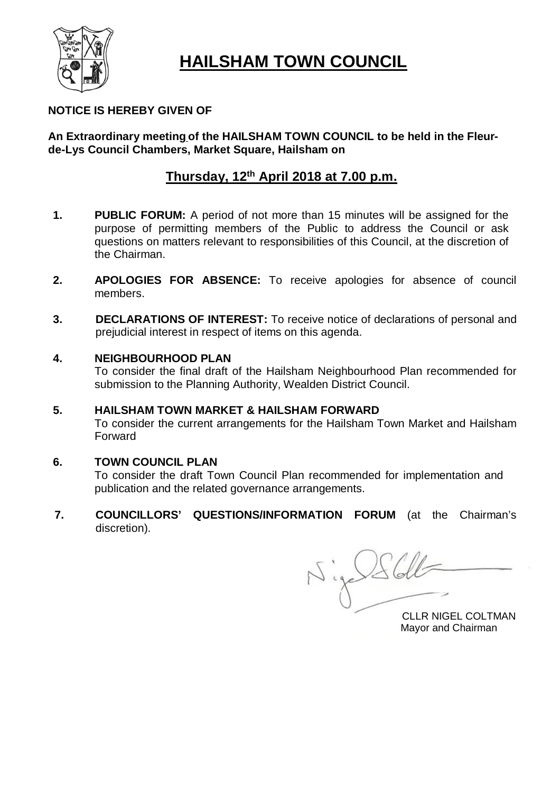

# **HAILSHAM TOWN COUNCIL**

# **NOTICE IS HEREBY GIVEN OF**

# **An Extraordinary meeting of the HAILSHAM TOWN COUNCIL to be held in the Fleurde-Lys Council Chambers, Market Square, Hailsham on**

# **Thursday, 12 th April 2018 at 7.00 p.m.**

- **1. PUBLIC FORUM:** A period of not more than 15 minutes will be assigned for the purpose of permitting members of the Public to address the Council or ask questions on matters relevant to responsibilities of this Council, at the discretion of the Chairman.
- **2. APOLOGIES FOR ABSENCE:** To receive apologies for absence of council members.
- **3. DECLARATIONS OF INTEREST:** To receive notice of declarations of personal and prejudicial interest in respect of items on this agenda.

# **4. NEIGHBOURHOOD PLAN**

To consider the final draft of the Hailsham Neighbourhood Plan recommended for submission to the Planning Authority, Wealden District Council.

# **5. HAILSHAM TOWN MARKET & HAILSHAM FORWARD**

To consider the current arrangements for the Hailsham Town Market and Hailsham Forward

# **6. TOWN COUNCIL PLAN**

To consider the draft Town Council Plan recommended for implementation and publication and the related governance arrangements.

**7. COUNCILLORS' QUESTIONS/INFORMATION FORUM** (at the Chairman's discretion).

Nige Schle

CLLR NIGEL COLTMAN Mayor and Chairman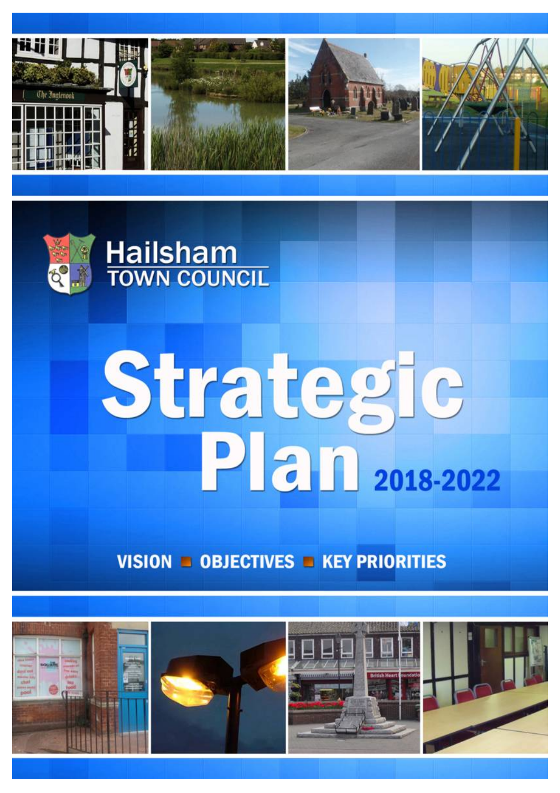



# Strategic<br>Plan 2018-2022

VISION  $\blacksquare$  OBJECTIVES  $\blacksquare$  KEY PRIORITIES

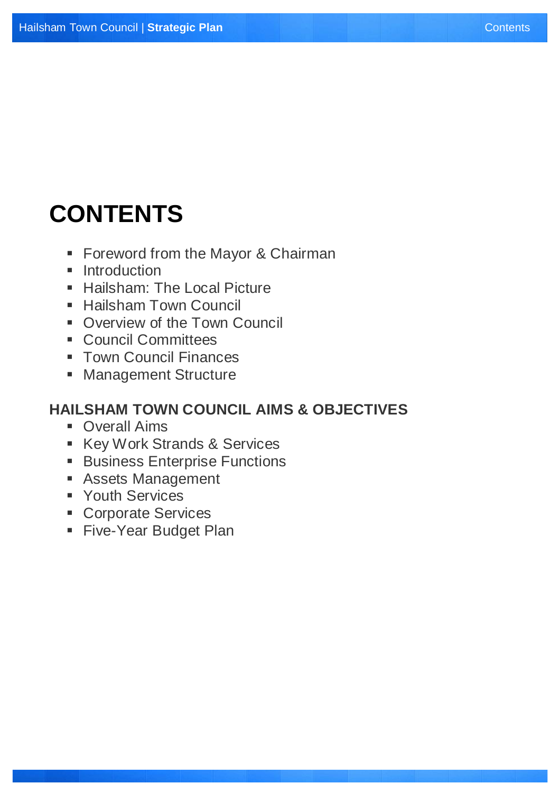# **CONTENTS**

- **Foreword from the Mayor & Chairman**
- **Introduction**
- **Hailsham: The Local Picture**
- Hailsham Town Council
- Overview of the Town Council
- **Council Committees**
- **Town Council Finances**
- **Management Structure**

# **HAILSHAM TOWN COUNCIL AIMS & OBJECTIVES**

- **Overall Aims**
- Key Work Strands & Services
- **Business Enterprise Functions**
- **Assets Management**
- Youth Services
- **Corporate Services**
- **Five-Year Budget Plan**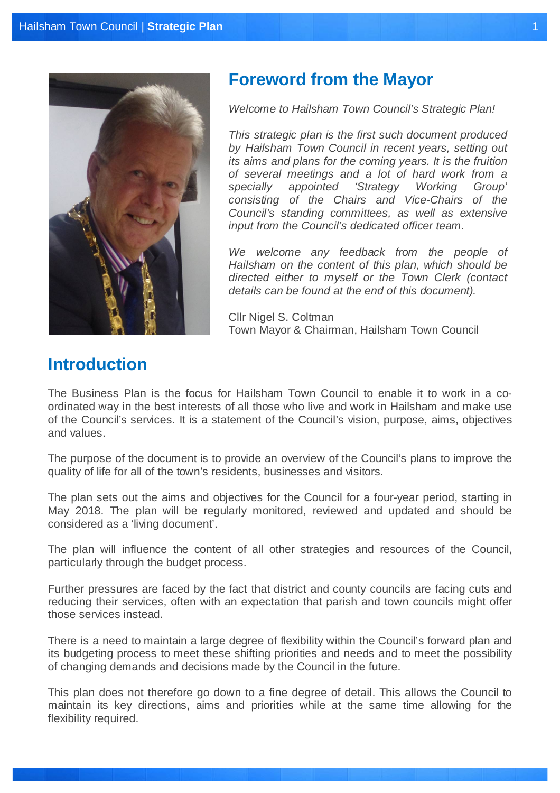

# **Foreword from the Mayor**

*Welcome to Hailsham Town Council's Strategic Plan!* 

*This strategic plan is the first such document produced by Hailsham Town Council in recent years, setting out its aims and plans for the coming years. It is the fruition of several meetings and a lot of hard work from a specially appointed 'Strategy Working Group' consisting of the Chairs and Vice-Chairs of the Council's standing committees, as well as extensive input from the Council's dedicated officer team.* 

*We welcome any feedback from the people of Hailsham on the content of this plan, which should be directed either to myself or the Town Clerk (contact details can be found at the end of this document).*

Cllr Nigel S. Coltman Town Mayor & Chairman, Hailsham Town Council

# **Introduction**

The Business Plan is the focus for Hailsham Town Council to enable it to work in a coordinated way in the best interests of all those who live and work in Hailsham and make use of the Council's services. It is a statement of the Council's vision, purpose, aims, objectives and values.

The purpose of the document is to provide an overview of the Council's plans to improve the quality of life for all of the town's residents, businesses and visitors.

The plan sets out the aims and objectives for the Council for a four-year period, starting in May 2018. The plan will be regularly monitored, reviewed and updated and should be considered as a 'living document'.

The plan will influence the content of all other strategies and resources of the Council, particularly through the budget process.

Further pressures are faced by the fact that district and county councils are facing cuts and reducing their services, often with an expectation that parish and town councils might offer those services instead.

There is a need to maintain a large degree of flexibility within the Council's forward plan and its budgeting process to meet these shifting priorities and needs and to meet the possibility of changing demands and decisions made by the Council in the future.

This plan does not therefore go down to a fine degree of detail. This allows the Council to maintain its key directions, aims and priorities while at the same time allowing for the flexibility required.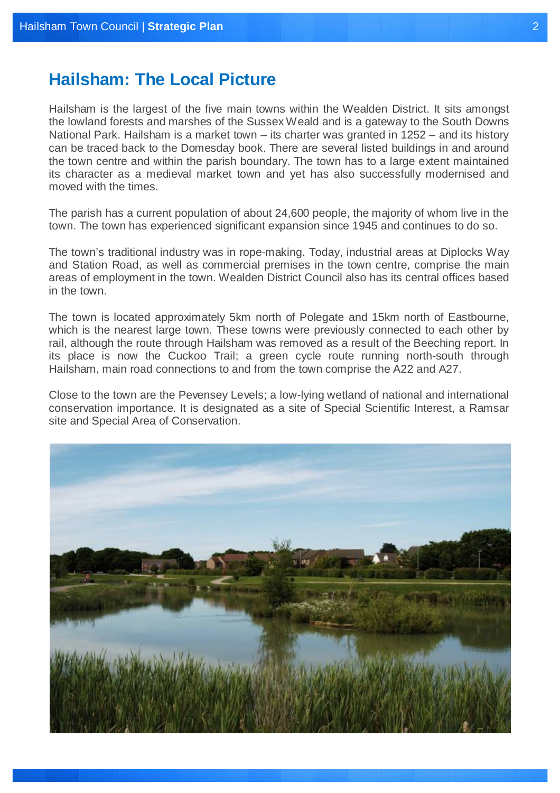# **Hailsham: The Local Picture**

Hailsham is the largest of the five main towns within the Wealden District. It sits amongst the lowland forests and marshes of the Sussex Weald and is a gateway to the South Downs National Park. Hailsham is a market town – its charter was granted in 1252 – and its history can be traced back to the Domesday book. There are several listed buildings in and around the town centre and within the parish boundary. The town has to a large extent maintained its character as a medieval market town and yet has also successfully modernised and moved with the times.

The parish has a current population of about 24,600 people, the majority of whom live in the town. The town has experienced significant expansion since 1945 and continues to do so.

The town's traditional industry was in rope-making. Today, industrial areas at Diplocks Way and Station Road, as well as commercial premises in the town centre, comprise the main areas of employment in the town. Wealden District Council also has its central offices based in the town.

The town is located approximately 5km north of Polegate and 15km north of Eastbourne, which is the nearest large town. These towns were previously connected to each other by rail, although the route through Hailsham was removed as a result of the Beeching report. In its place is now the Cuckoo Trail; a green cycle route running north-south through Hailsham, main road connections to and from the town comprise the A22 and A27.

Close to the town are the Pevensey Levels; a low-lying wetland of national and international conservation importance. It is designated as a site of Special Scientific Interest, a Ramsar site and Special Area of Conservation.

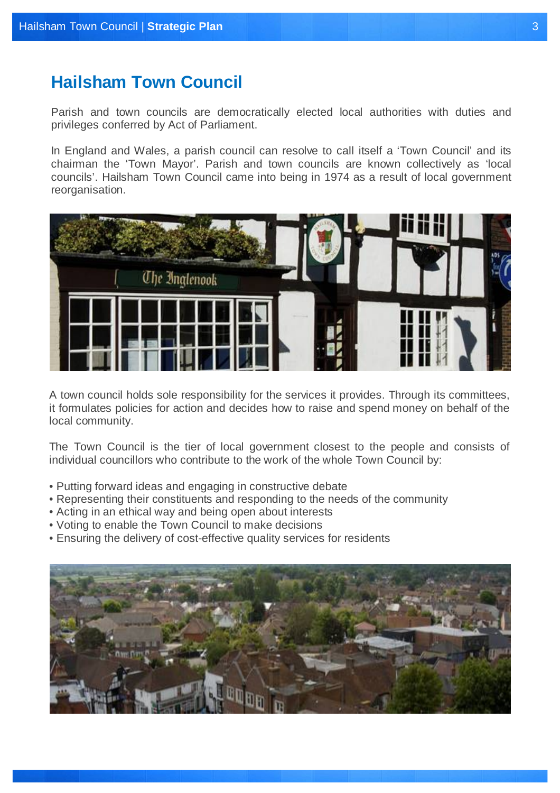# **Hailsham Town Council**

Parish and town councils are democratically elected local authorities with duties and privileges conferred by Act of Parliament.

In England and Wales, a parish council can resolve to call itself a 'Town Council' and its chairman the 'Town Mayor'. Parish and town councils are known collectively as 'local councils'. Hailsham Town Council came into being in 1974 as a result of local government reorganisation.



A town council holds sole responsibility for the services it provides. Through its committees, it formulates policies for action and decides how to raise and spend money on behalf of the local community.

The Town Council is the tier of local government closest to the people and consists of individual councillors who contribute to the work of the whole Town Council by:

- Putting forward ideas and engaging in constructive debate
- Representing their constituents and responding to the needs of the community
- Acting in an ethical way and being open about interests
- Voting to enable the Town Council to make decisions
- Ensuring the delivery of cost-effective quality services for residents

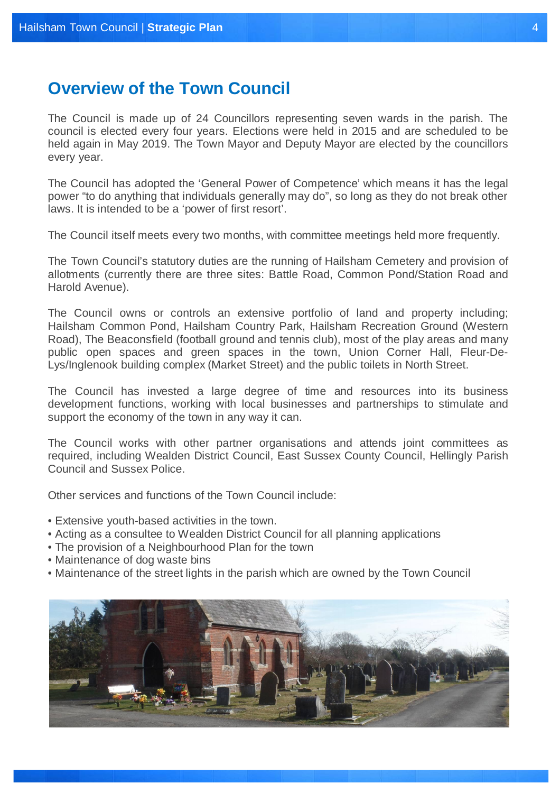# **Overview of the Town Council**

The Council is made up of 24 Councillors representing seven wards in the parish. The council is elected every four years. Elections were held in 2015 and are scheduled to be held again in May 2019. The Town Mayor and Deputy Mayor are elected by the councillors every year.

The Council has adopted the 'General Power of Competence' which means it has the legal power "to do anything that individuals generally may do", so long as they do not break other laws. It is intended to be a 'power of first resort'.

The Council itself meets every two months, with committee meetings held more frequently.

The Town Council's statutory duties are the running of Hailsham Cemetery and provision of allotments (currently there are three sites: Battle Road, Common Pond/Station Road and Harold Avenue).

The Council owns or controls an extensive portfolio of land and property including; Hailsham Common Pond, Hailsham Country Park, Hailsham Recreation Ground (Western Road), The Beaconsfield (football ground and tennis club), most of the play areas and many public open spaces and green spaces in the town, Union Corner Hall, Fleur-De-Lys/Inglenook building complex (Market Street) and the public toilets in North Street.

The Council has invested a large degree of time and resources into its business development functions, working with local businesses and partnerships to stimulate and support the economy of the town in any way it can.

The Council works with other partner organisations and attends joint committees as required, including Wealden District Council, East Sussex County Council, Hellingly Parish Council and Sussex Police.

Other services and functions of the Town Council include:

- Extensive youth-based activities in the town.
- Acting as a consultee to Wealden District Council for all planning applications
- The provision of a Neighbourhood Plan for the town
- Maintenance of dog waste bins
- Maintenance of the street lights in the parish which are owned by the Town Council

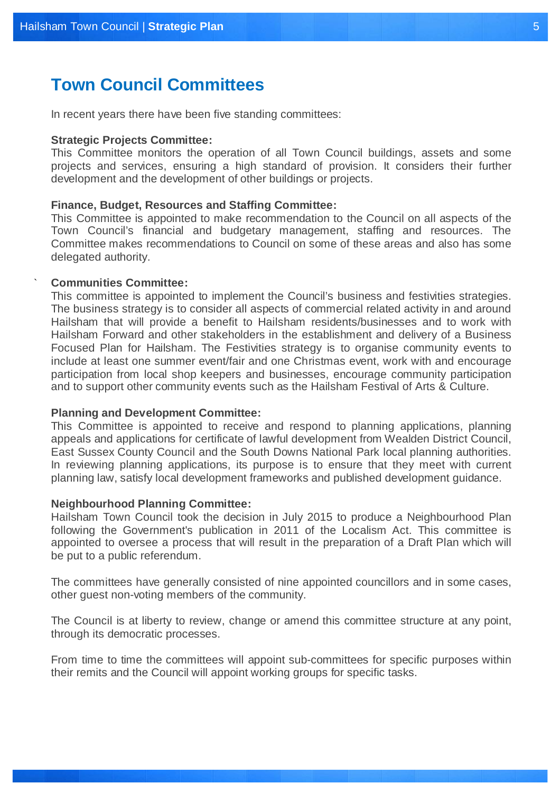# **Town Council Committees**

In recent years there have been five standing committees:

# **Strategic Projects Committee:**

This Committee monitors the operation of all Town Council buildings, assets and some projects and services, ensuring a high standard of provision. It considers their further development and the development of other buildings or projects.

# **Finance, Budget, Resources and Staffing Committee:**

This Committee is appointed to make recommendation to the Council on all aspects of the Town Council's financial and budgetary management, staffing and resources. The Committee makes recommendations to Council on some of these areas and also has some delegated authority.

# **Communities Committee:**

`

This committee is appointed to implement the Council's business and festivities strategies. The business strategy is to consider all aspects of commercial related activity in and around Hailsham that will provide a benefit to Hailsham residents/businesses and to work with Hailsham Forward and other stakeholders in the establishment and delivery of a Business Focused Plan for Hailsham. The Festivities strategy is to organise community events to include at least one summer event/fair and one Christmas event, work with and encourage participation from local shop keepers and businesses, encourage community participation and to support other community events such as the Hailsham Festival of Arts & Culture.

# **Planning and Development Committee:**

This Committee is appointed to receive and respond to planning applications, planning appeals and applications for certificate of lawful development from Wealden District Council, East Sussex County Council and the South Downs National Park local planning authorities. In reviewing planning applications, its purpose is to ensure that they meet with current planning law, satisfy local development frameworks and published development guidance.

# **Neighbourhood Planning Committee:**

Hailsham Town Council took the decision in July 2015 to produce a Neighbourhood Plan following the Government's publication in 2011 of the Localism Act. This committee is appointed to oversee a process that will result in the preparation of a Draft Plan which will be put to a public referendum.

The committees have generally consisted of nine appointed councillors and in some cases, other guest non-voting members of the community.

The Council is at liberty to review, change or amend this committee structure at any point, through its democratic processes.

From time to time the committees will appoint sub-committees for specific purposes within their remits and the Council will appoint working groups for specific tasks.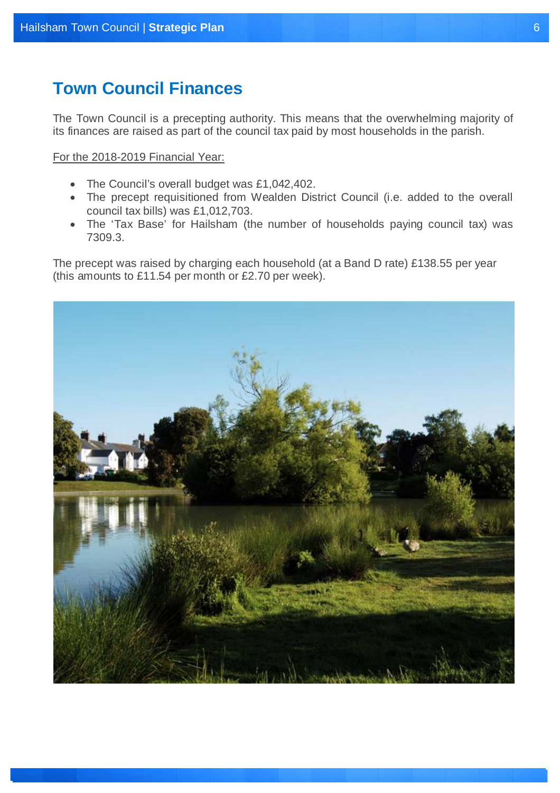# **Town Council Finances**

The Town Council is a precepting authority. This means that the overwhelming majority of its finances are raised as part of the council tax paid by most households in the parish.

For the 2018-2019 Financial Year:

- The Council's overall budget was £1,042,402.
- The precept requisitioned from Wealden District Council (i.e. added to the overall council tax bills) was £1,012,703.
- The 'Tax Base' for Hailsham (the number of households paying council tax) was 7309.3.

The precept was raised by charging each household (at a Band D rate) £138.55 per year (this amounts to £11.54 per month or £2.70 per week).

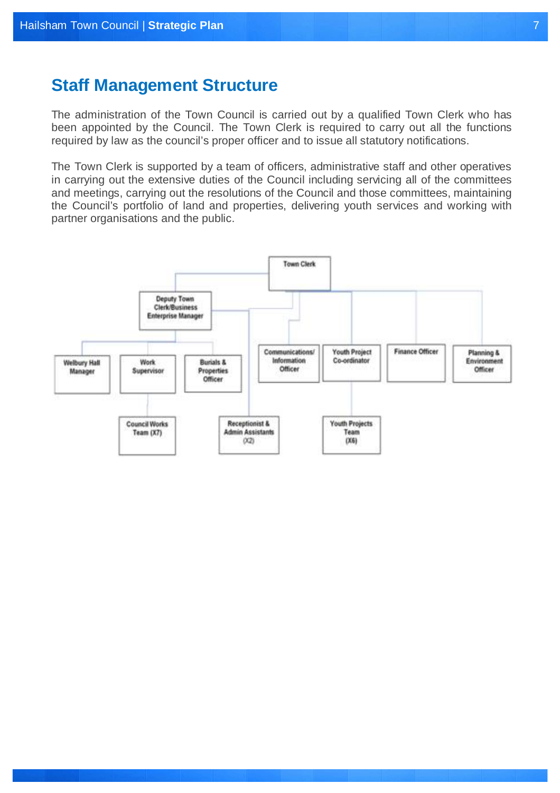# **Staff Management Structure**

The administration of the Town Council is carried out by a qualified Town Clerk who has been appointed by the Council. The Town Clerk is required to carry out all the functions required by law as the council's proper officer and to issue all statutory notifications.

The Town Clerk is supported by a team of officers, administrative staff and other operatives in carrying out the extensive duties of the Council including servicing all of the committees and meetings, carrying out the resolutions of the Council and those committees, maintaining the Council's portfolio of land and properties, delivering youth services and working with partner organisations and the public.

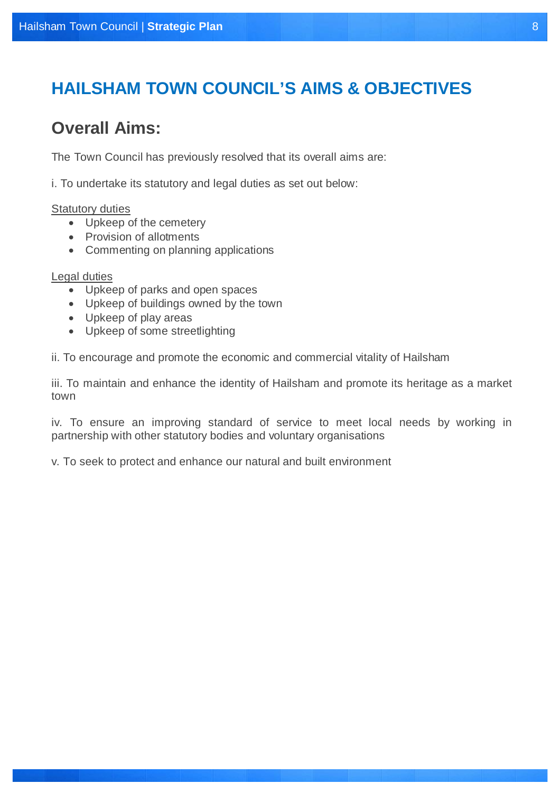# **HAILSHAM TOWN COUNCIL'S AIMS & OBJECTIVES**

# **Overall Aims:**

The Town Council has previously resolved that its overall aims are:

i. To undertake its statutory and legal duties as set out below:

# Statutory duties

- Upkeep of the cemetery
- Provision of allotments
- Commenting on planning applications

# Legal duties

- Upkeep of parks and open spaces
- Upkeep of buildings owned by the town
- Upkeep of play areas
- Upkeep of some streetlighting

ii. To encourage and promote the economic and commercial vitality of Hailsham

iii. To maintain and enhance the identity of Hailsham and promote its heritage as a market town

iv. To ensure an improving standard of service to meet local needs by working in partnership with other statutory bodies and voluntary organisations

v. To seek to protect and enhance our natural and built environment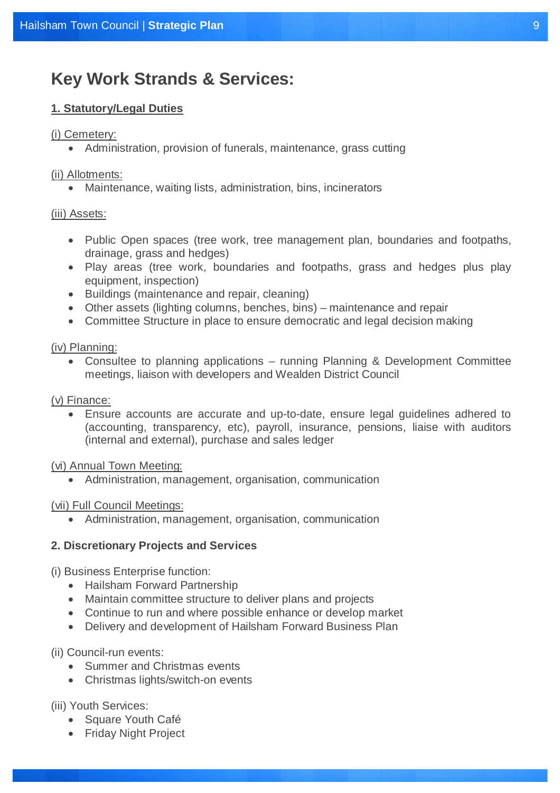# **Key Work Strands & Services:**

# **1. Statutory/Legal Duties**

# (i) Cemetery:

Administration, provision of funerals, maintenance, grass cutting

# (ii) Allotments:

Maintenance, waiting lists, administration, bins, incinerators

# (iii) Assets:

- Public Open spaces (tree work, tree management plan, boundaries and footpaths, drainage, grass and hedges)
- Play areas (tree work, boundaries and footpaths, grass and hedges plus play equipment, inspection)
- Buildings (maintenance and repair, cleaning)
- Other assets (lighting columns, benches, bins) maintenance and repair
- Committee Structure in place to ensure democratic and legal decision making

# (iv) Planning:

 Consultee to planning applications – running Planning & Development Committee meetings, liaison with developers and Wealden District Council

# (v) Finance:

 Ensure accounts are accurate and up-to-date, ensure legal guidelines adhered to (accounting, transparency, etc), payroll, insurance, pensions, liaise with auditors (internal and external), purchase and sales ledger

# (vi) Annual Town Meeting:

Administration, management, organisation, communication

# (vii) Full Council Meetings:

Administration, management, organisation, communication

# **2. Discretionary Projects and Services**

- (i) Business Enterprise function:
	- Hailsham Forward Partnership
	- Maintain committee structure to deliver plans and projects
	- Continue to run and where possible enhance or develop market
	- Delivery and development of Hailsham Forward Business Plan

# (ii) Council-run events:

- Summer and Christmas events
- Christmas lights/switch-on events

# (iii) Youth Services:

- Square Youth Café
- Friday Night Project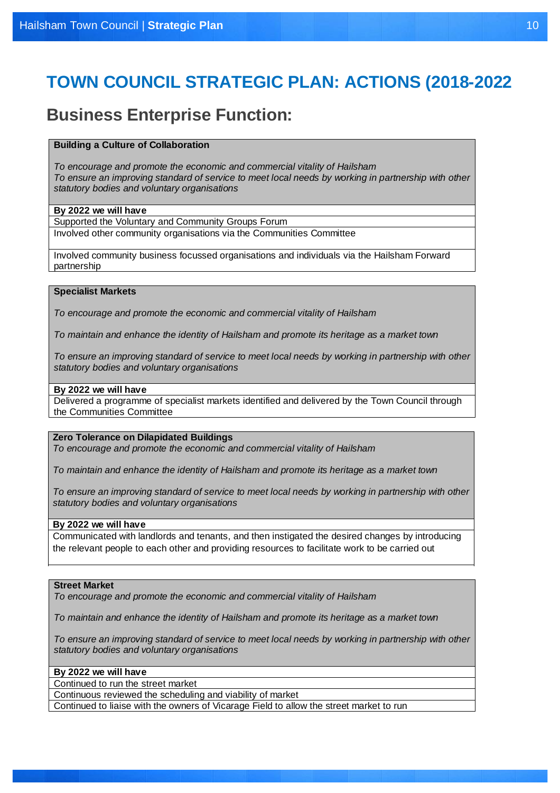# **TOWN COUNCIL STRATEGIC PLAN: ACTIONS (2018-2022**

# **Business Enterprise Function:**

### **Building a Culture of Collaboration**

*To encourage and promote the economic and commercial vitality of Hailsham To ensure an improving standard of service to meet local needs by working in partnership with other statutory bodies and voluntary organisations*

### **By 2022 we will have**

Supported the Voluntary and Community Groups Forum Involved other community organisations via the Communities Committee

Involved community business focussed organisations and individuals via the Hailsham Forward partnership

# **Specialist Markets**

*To encourage and promote the economic and commercial vitality of Hailsham*

*To maintain and enhance the identity of Hailsham and promote its heritage as a market town*

*To ensure an improving standard of service to meet local needs by working in partnership with other statutory bodies and voluntary organisations*

# **By 2022 we will have**

Delivered a programme of specialist markets identified and delivered by the Town Council through the Communities Committee

# **Zero Tolerance on Dilapidated Buildings**

*To encourage and promote the economic and commercial vitality of Hailsham*

*To maintain and enhance the identity of Hailsham and promote its heritage as a market town*

*To ensure an improving standard of service to meet local needs by working in partnership with other statutory bodies and voluntary organisations*

### **By 2022 we will have**

Communicated with landlords and tenants, and then instigated the desired changes by introducing the relevant people to each other and providing resources to facilitate work to be carried out

### **Street Market**

*To encourage and promote the economic and commercial vitality of Hailsham*

*To maintain and enhance the identity of Hailsham and promote its heritage as a market town*

*To ensure an improving standard of service to meet local needs by working in partnership with other statutory bodies and voluntary organisations*

### **By 2022 we will have**

Continued to run the street market

Continuous reviewed the scheduling and viability of market

Continued to liaise with the owners of Vicarage Field to allow the street market to run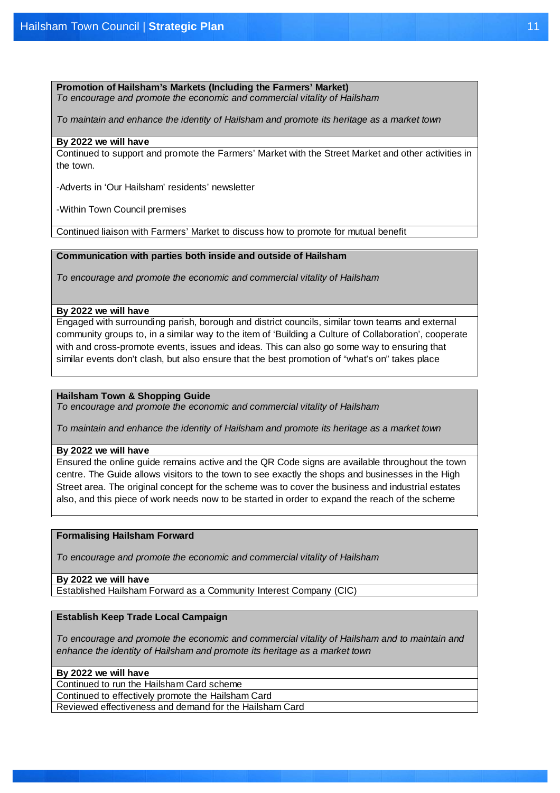# **Promotion of Hailsham's Markets (Including the Farmers' Market)**

*To encourage and promote the economic and commercial vitality of Hailsham*

*To maintain and enhance the identity of Hailsham and promote its heritage as a market town*

### **By 2022 we will have**

Continued to support and promote the Farmers' Market with the Street Market and other activities in the town.

-Adverts in 'Our Hailsham' residents' newsletter

-Within Town Council premises

Continued liaison with Farmers' Market to discuss how to promote for mutual benefit

# **Communication with parties both inside and outside of Hailsham**

*To encourage and promote the economic and commercial vitality of Hailsham*

### **By 2022 we will have**

Engaged with surrounding parish, borough and district councils, similar town teams and external community groups to, in a similar way to the item of 'Building a Culture of Collaboration', cooperate with and cross-promote events, issues and ideas. This can also go some way to ensuring that similar events don't clash, but also ensure that the best promotion of "what's on" takes place

# **Hailsham Town & Shopping Guide**

*To encourage and promote the economic and commercial vitality of Hailsham*

*To maintain and enhance the identity of Hailsham and promote its heritage as a market town*

### **By 2022 we will have**

Ensured the online guide remains active and the QR Code signs are available throughout the town centre. The Guide allows visitors to the town to see exactly the shops and businesses in the High Street area. The original concept for the scheme was to cover the business and industrial estates also, and this piece of work needs now to be started in order to expand the reach of the scheme

# **Formalising Hailsham Forward**

*To encourage and promote the economic and commercial vitality of Hailsham*

# **By 2022 we will have**

Established Hailsham Forward as a Community Interest Company (CIC)

# **Establish Keep Trade Local Campaign**

*To encourage and promote the economic and commercial vitality of Hailsham and to maintain and enhance the identity of Hailsham and promote its heritage as a market town*

### **By 2022 we will have**

Continued to run the Hailsham Card scheme

Continued to effectively promote the Hailsham Card

Reviewed effectiveness and demand for the Hailsham Card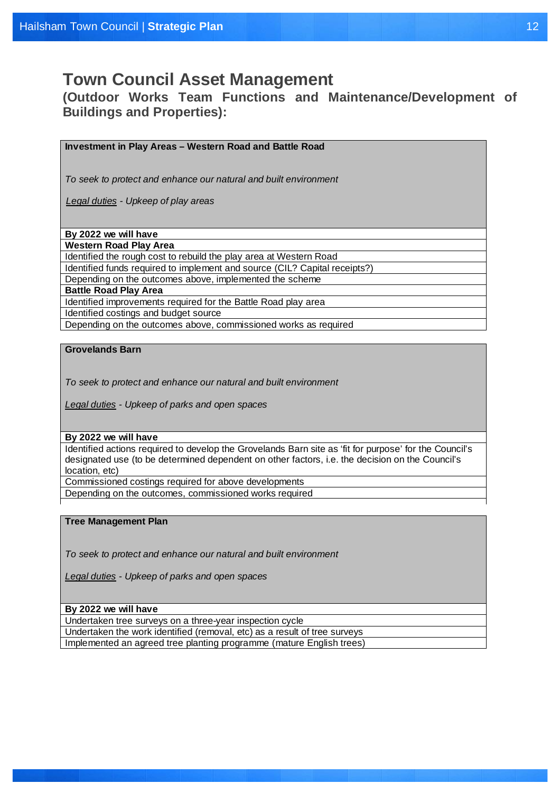# **Town Council Asset Management**

**(Outdoor Works Team Functions and Maintenance/Development of Buildings and Properties):**

**Investment in Play Areas – Western Road and Battle Road**

*To seek to protect and enhance our natural and built environment*

*Legal duties - Upkeep of play areas*

**By 2022 we will have**

**Western Road Play Area**

Identified the rough cost to rebuild the play area at Western Road

Identified funds required to implement and source (CIL? Capital receipts?)

Depending on the outcomes above, implemented the scheme

**Battle Road Play Area**

Identified improvements required for the Battle Road play area

Identified costings and budget source

Depending on the outcomes above, commissioned works as required

# **Grovelands Barn**

*To seek to protect and enhance our natural and built environment*

*Legal duties - Upkeep of parks and open spaces*

### **By 2022 we will have**

Identified actions required to develop the Grovelands Barn site as 'fit for purpose' for the Council's designated use (to be determined dependent on other factors, i.e. the decision on the Council's location, etc)

Commissioned costings required for above developments

Depending on the outcomes, commissioned works required

# **Tree Management Plan**

*To seek to protect and enhance our natural and built environment*

*Legal duties - Upkeep of parks and open spaces*

### **By 2022 we will have**

Undertaken tree surveys on a three-year inspection cycle Undertaken the work identified (removal, etc) as a result of tree surveys Implemented an agreed tree planting programme (mature English trees)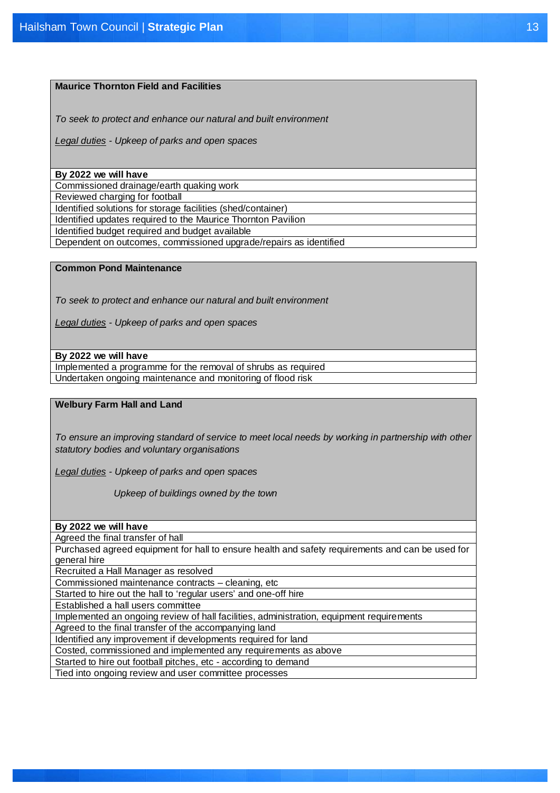# **Maurice Thornton Field and Facilities**

*To seek to protect and enhance our natural and built environment*

*Legal duties - Upkeep of parks and open spaces*

### **By 2022 we will have**

Commissioned drainage/earth quaking work

Reviewed charging for football

Identified solutions for storage facilities (shed/container) Identified updates required to the Maurice Thornton Pavilion

Identified budget required and budget available

Dependent on outcomes, commissioned upgrade/repairs as identified

# **Common Pond Maintenance**

*To seek to protect and enhance our natural and built environment*

*Legal duties - Upkeep of parks and open spaces*

# **By 2022 we will have**

Implemented a programme for the removal of shrubs as required Undertaken ongoing maintenance and monitoring of flood risk

### **Welbury Farm Hall and Land**

*To ensure an improving standard of service to meet local needs by working in partnership with other statutory bodies and voluntary organisations*

*Legal duties - Upkeep of parks and open spaces*

 *Upkeep of buildings owned by the town*

| By 2022 we will have |  |  |
|----------------------|--|--|
|                      |  |  |

Agreed the final transfer of hall

Purchased agreed equipment for hall to ensure health and safety requirements and can be used for general hire

Recruited a Hall Manager as resolved

Commissioned maintenance contracts – cleaning, etc

Started to hire out the hall to 'regular users' and one-off hire

Established a hall users committee

Implemented an ongoing review of hall facilities, administration, equipment requirements

Agreed to the final transfer of the accompanying land

Identified any improvement if developments required for land

Costed, commissioned and implemented any requirements as above

Started to hire out football pitches, etc - according to demand

Tied into ongoing review and user committee processes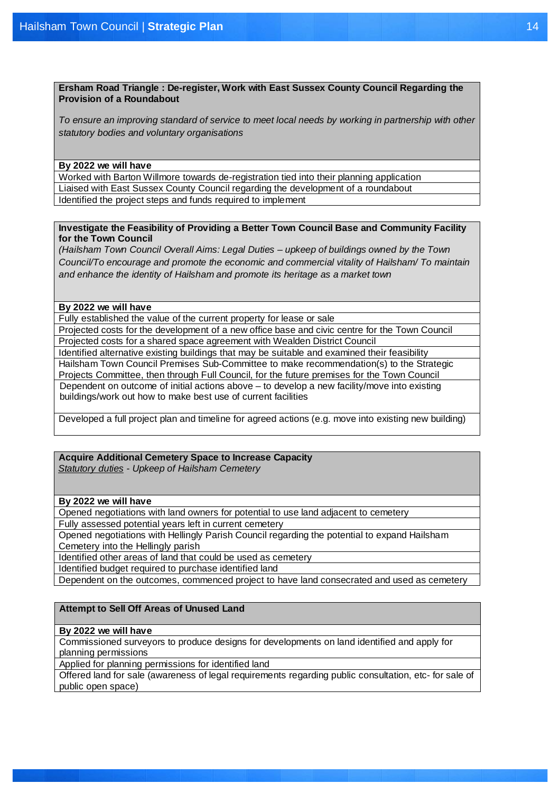**Ersham Road Triangle : De-register, Work with East Sussex County Council Regarding the Provision of a Roundabout**

*To ensure an improving standard of service to meet local needs by working in partnership with other statutory bodies and voluntary organisations*

# **By 2022 we will have**

Worked with Barton Willmore towards de-registration tied into their planning application Liaised with East Sussex County Council regarding the development of a roundabout Identified the project steps and funds required to implement

# **Investigate the Feasibility of Providing a Better Town Council Base and Community Facility for the Town Council**

*(Hailsham Town Council Overall Aims: Legal Duties – upkeep of buildings owned by the Town Council/To encourage and promote the economic and commercial vitality of Hailsham/ To maintain and enhance the identity of Hailsham and promote its heritage as a market town*

# **By 2022 we will have**

Fully established the value of the current property for lease or sale

Projected costs for the development of a new office base and civic centre for the Town Council Projected costs for a shared space agreement with Wealden District Council

Identified alternative existing buildings that may be suitable and examined their feasibility

Hailsham Town Council Premises Sub-Committee to make recommendation(s) to the Strategic Projects Committee, then through Full Council, for the future premises for the Town Council Dependent on outcome of initial actions above – to develop a new facility/move into existing buildings/work out how to make best use of current facilities

Developed a full project plan and timeline for agreed actions (e.g. move into existing new building)

# **Acquire Additional Cemetery Space to Increase Capacity**

 *Statutory duties - Upkeep of Hailsham Cemetery*

# **By 2022 we will have**

Opened negotiations with land owners for potential to use land adjacent to cemetery Fully assessed potential years left in current cemetery

Opened negotiations with Hellingly Parish Council regarding the potential to expand Hailsham Cemetery into the Hellingly parish

Identified other areas of land that could be used as cemetery

Identified budget required to purchase identified land

Dependent on the outcomes, commenced project to have land consecrated and used as cemetery

# **Attempt to Sell Off Areas of Unused Land**

# **By 2022 we will have**

Commissioned surveyors to produce designs for developments on land identified and apply for planning permissions

Applied for planning permissions for identified land

Offered land for sale (awareness of legal requirements regarding public consultation, etc- for sale of public open space)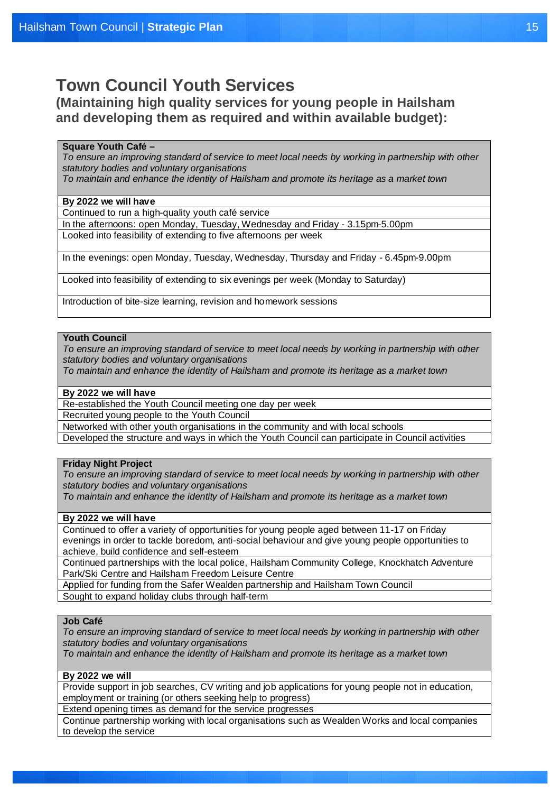# **Town Council Youth Services**

**(Maintaining high quality services for young people in Hailsham and developing them as required and within available budget):**

# **Square Youth Café –**

**Square Tourn Care**<br>To onguro an improvin *To ensure an improving standard of service to meet local needs by working in partnership with other statutory bodies and voluntary organisations statutory bodies and voluntary organisations statutory bodies and voluntary organisations*

*To maintain and enhance the identity of Hailsham and promote its heritage as a market town To maintain and enhance the identity of Hailsham and promote its heritage as a market town*

# **By 2022 we will have**

Continued to run a high-quality youth café service

<u>**By and the distribution**</u> Looked into feasibility of extending to five afternoons per week In the afternoons: open Monday, Tuesday, Wednesday and Friday - 3.15pm-5.00pm

In the avenings, open Monday, Tuesday, *Wednesday*, Thursday and Friday, 3.45pm In the evenings: open Monday, Tuesday, Wednesday, Thursday and Friday - 6.45pm-9.00pm

Looked into feasibility of extending to six evenings per week (Monday to Saturday)

Introduction of bite-size learning, revision and homework sessions

### Introduced of bite-size learning, revision and homework sessions **Youth Council**

*To ensure an improving standard of service to meet local needs by working in partnership with other statutory bodies and voluntary organisations*

*To maintain and enhance the identity of Hailsham and promote its heritage as a market town*

# **By 2022 we will have**

Re-established the Youth Council meeting one day per week

Recruited young people to the Youth Council

Networked with other youth organisations in the community and with local schools

Developed the structure and ways in which the Youth Council can participate in Council activities

# **Friday Night Project**

*To ensure an improving standard of service to meet local needs by working in partnership with other statutory bodies and voluntary organisations*

*To maintain and enhance the identity of Hailsham and promote its heritage as a market town*

# **By 2022 we will have**

Continued to offer a variety of opportunities for young people aged between 11-17 on Friday evenings in order to tackle boredom, anti-social behaviour and give young people opportunities to achieve, build confidence and self-esteem

Continued partnerships with the local police, Hailsham Community College, Knockhatch Adventure Park/Ski Centre and Hailsham Freedom Leisure Centre

Applied for funding from the Safer Wealden partnership and Hailsham Town Council

Sought to expand holiday clubs through half-term

# **Job Café**

*To ensure an improving standard of service to meet local needs by working in partnership with other statutory bodies and voluntary organisations*

*To maintain and enhance the identity of Hailsham and promote its heritage as a market town*

# **By 2022 we will**

Provide support in job searches, CV writing and job applications for young people not in education, employment or training (or others seeking help to progress)

Extend opening times as demand for the service progresses

Continue partnership working with local organisations such as Wealden Works and local companies to develop the service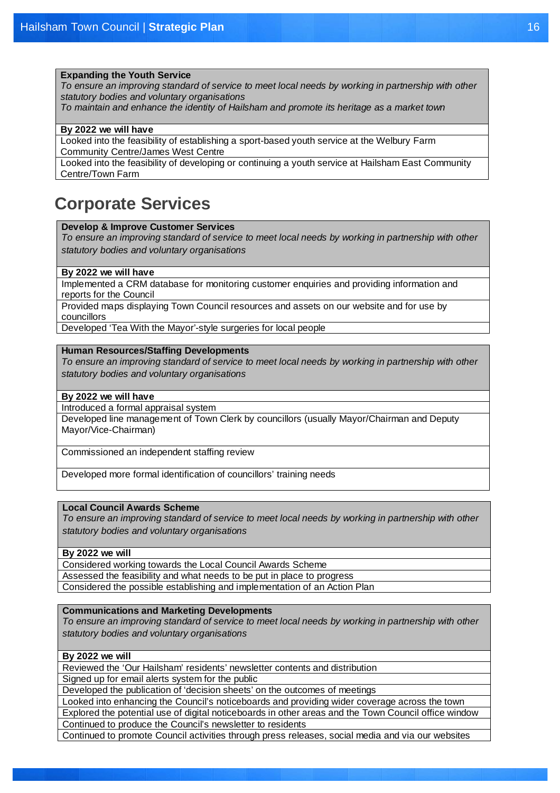# **Expanding the Youth Service**

*To ensure an improving standard of service to meet local needs by working in partnership with other statutory bodies and voluntary organisations*

*To maintain and enhance the identity of Hailsham and promote its heritage as a market town*

# **By 2022 we will have**

Looked into the feasibility of establishing a sport-based youth service at the Welbury Farm Community Centre/James West Centre

Looked into the feasibility of developing or continuing a youth service at Hailsham East Community Centre/Town Farm

# **Corporate Services**

# **Develop & Improve Customer Services**

*To ensure an improving standard of service to meet local needs by working in partnership with other statutory bodies and voluntary organisations*

### **By 2022 we will have**

Implemented a CRM database for monitoring customer enquiries and providing information and reports for the Council

Provided maps displaying Town Council resources and assets on our website and for use by councillors

Developed 'Tea With the Mayor'-style surgeries for local people

# **Human Resources/Staffing Developments**

*To ensure an improving standard of service to meet local needs by working in partnership with other statutory bodies and voluntary organisations*

# **By 2022 we will have**

Introduced a formal appraisal system

Developed line management of Town Clerk by councillors (usually Mayor/Chairman and Deputy Mayor/Vice-Chairman)

Commissioned an independent staffing review

Developed more formal identification of councillors' training needs

# **Local Council Awards Scheme**

*To ensure an improving standard of service to meet local needs by working in partnership with other statutory bodies and voluntary organisations*

# **By 2022 we will**

Considered working towards the Local Council Awards Scheme Assessed the feasibility and what needs to be put in place to progress Considered the possible establishing and implementation of an Action Plan

### **Communications and Marketing Developments**

*To ensure an improving standard of service to meet local needs by working in partnership with other statutory bodies and voluntary organisations*

# **By 2022 we will**

Reviewed the 'Our Hailsham' residents' newsletter contents and distribution

Signed up for email alerts system for the public

Developed the publication of 'decision sheets' on the outcomes of meetings

Looked into enhancing the Council's noticeboards and providing wider coverage across the town Explored the potential use of digital noticeboards in other areas and the Town Council office window Continued to produce the Council's newsletter to residents

Continued to promote Council activities through press releases, social media and via our websites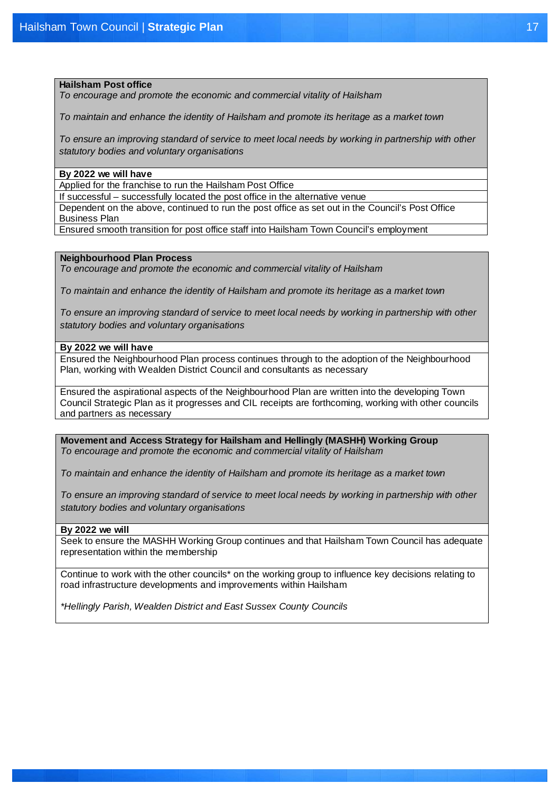# **Hailsham Post office**

*To encourage and promote the economic and commercial vitality of Hailsham*

*To maintain and enhance the identity of Hailsham and promote its heritage as a market town*

*To ensure an improving standard of service to meet local needs by working in partnership with other statutory bodies and voluntary organisations*

### **By 2022 we will have**

Applied for the franchise to run the Hailsham Post Office

If successful – successfully located the post office in the alternative venue

Dependent on the above, continued to run the post office as set out in the Council's Post Office Business Plan

Ensured smooth transition for post office staff into Hailsham Town Council's employment

# **Neighbourhood Plan Process**

*To encourage and promote the economic and commercial vitality of Hailsham*

*To maintain and enhance the identity of Hailsham and promote its heritage as a market town*

*To ensure an improving standard of service to meet local needs by working in partnership with other statutory bodies and voluntary organisations*

# **By 2022 we will have**

Ensured the Neighbourhood Plan process continues through to the adoption of the Neighbourhood Plan, working with Wealden District Council and consultants as necessary

Ensured the aspirational aspects of the Neighbourhood Plan are written into the developing Town Council Strategic Plan as it progresses and CIL receipts are forthcoming, working with other councils and partners as necessary

**Movement and Access Strategy for Hailsham and Hellingly (MASHH) Working Group** *To encourage and promote the economic and commercial vitality of Hailsham*

*To maintain and enhance the identity of Hailsham and promote its heritage as a market town*

*To ensure an improving standard of service to meet local needs by working in partnership with other statutory bodies and voluntary organisations*

### **By 2022 we will**

Seek to ensure the MASHH Working Group continues and that Hailsham Town Council has adequate representation within the membership

Continue to work with the other councils\* on the working group to influence key decisions relating to road infrastructure developments and improvements within Hailsham

*\*Hellingly Parish, Wealden District and East Sussex County Councils*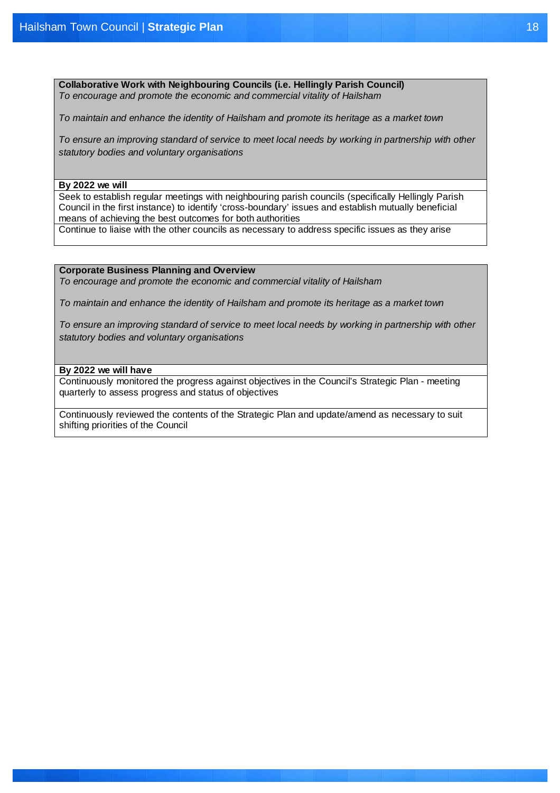**Collaborative Work with Neighbouring Councils (i.e. Hellingly Parish Council)** *To encourage and promote the economic and commercial vitality of Hailsham*

*To maintain and enhance the identity of Hailsham and promote its heritage as a market town*

*To ensure an improving standard of service to meet local needs by working in partnership with other statutory bodies and voluntary organisations*

### **By 2022 we will**

Seek to establish regular meetings with neighbouring parish councils (specifically Hellingly Parish Council in the first instance) to identify 'cross-boundary' issues and establish mutually beneficial means of achieving the best outcomes for both authorities

Continue to liaise with the other councils as necessary to address specific issues as they arise

# **Corporate Business Planning and Overview**

*To encourage and promote the economic and commercial vitality of Hailsham*

*To maintain and enhance the identity of Hailsham and promote its heritage as a market town*

*To ensure an improving standard of service to meet local needs by working in partnership with other statutory bodies and voluntary organisations*

# **By 2022 we will have**

Continuously monitored the progress against objectives in the Council's Strategic Plan - meeting quarterly to assess progress and status of objectives

Continuously reviewed the contents of the Strategic Plan and update/amend as necessary to suit shifting priorities of the Council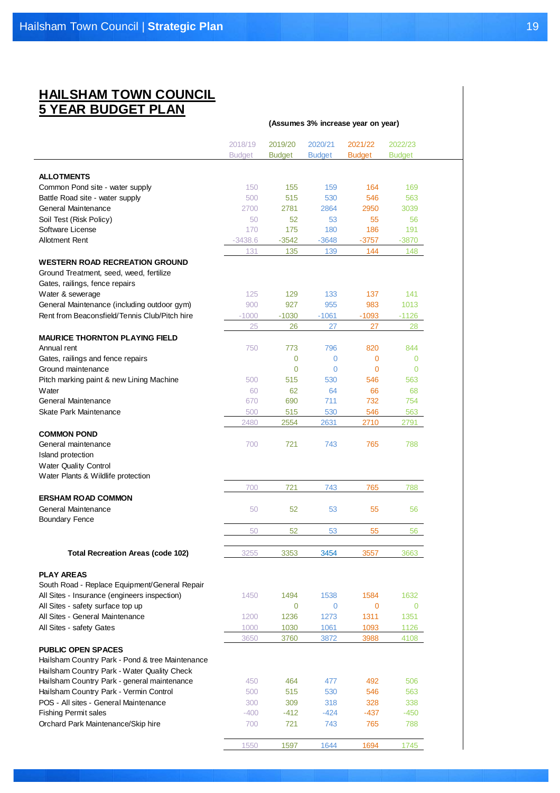# **HAILSHAM TOWN COUNCIL 5 YEAR BUDGET PLAN**

|                                                 |                          |                          |                          | (Assumes 3% increase year on year) |                          |
|-------------------------------------------------|--------------------------|--------------------------|--------------------------|------------------------------------|--------------------------|
|                                                 | 2018/19<br><b>Budget</b> | 2019/20<br><b>Budget</b> | 2020/21<br><b>Budget</b> | 2021/22<br><b>Budget</b>           | 2022/23<br><b>Budget</b> |
| <b>ALLOTMENTS</b>                               |                          |                          |                          |                                    |                          |
| Common Pond site - water supply                 | 150                      | 155                      | 159                      | 164                                | 169                      |
| Battle Road site - water supply                 | 500                      | 515                      | 530                      | 546                                | 563                      |
| General Maintenance                             | 2700                     | 2781                     | 2864                     | 2950                               | 3039                     |
| Soil Test (Risk Policy)                         | 50                       | 52                       | 53                       | 55                                 | 56                       |
| Software License                                | 170                      | 175                      | 180                      | 186                                | 191                      |
| Allotment Rent                                  | $-3438.6$                | $-3542$                  | $-3648$                  | $-3757$                            | $-3870$                  |
|                                                 | 131                      | 135                      | 139                      | 144                                | 148                      |
| <b>WESTERN ROAD RECREATION GROUND</b>           |                          |                          |                          |                                    |                          |
| Ground Treatment, seed, weed, fertilize         |                          |                          |                          |                                    |                          |
| Gates, railings, fence repairs                  |                          |                          |                          |                                    |                          |
| Water & sewerage                                | 125                      | 129                      | 133                      | 137                                | 141                      |
| General Maintenance (including outdoor gym)     | 900                      | 927                      | 955                      | 983                                | 1013                     |
| Rent from Beaconsfield/Tennis Club/Pitch hire   | $-1000$                  | $-1030$                  | $-1061$                  | $-1093$                            | $-1126$                  |
|                                                 | 25                       | 26                       | 27                       | 27                                 | 28                       |
| <b>MAURICE THORNTON PLAYING FIELD</b>           |                          |                          |                          |                                    |                          |
| Annual rent                                     | 750                      | 773                      | 796                      | 820                                | 844                      |
| Gates, railings and fence repairs               |                          | $\overline{0}$           | $\mathbf{0}$             | $\mathbf 0$                        | $\mathbf{0}$             |
| Ground maintenance                              |                          | 0                        | $\mathbf{0}$             | 0                                  | $\Omega$                 |
| Pitch marking paint & new Lining Machine        | 500                      | 515                      | 530                      | 546                                | 563                      |
| Water                                           | 60                       | 62                       | 64                       | 66                                 | 68                       |
| General Maintenance                             | 670                      | 690                      | 711                      | 732                                | 754                      |
| Skate Park Maintenance                          |                          |                          |                          |                                    |                          |
|                                                 | 500                      | 515                      | 530                      | 546                                | 563                      |
|                                                 | 2480                     | 2554                     | 2631                     | 2710                               | 2791                     |
| <b>COMMON POND</b>                              |                          |                          |                          |                                    |                          |
| General maintenance                             | 700                      | 721                      | 743                      | 765                                | 788                      |
| Island protection                               |                          |                          |                          |                                    |                          |
| <b>Water Quality Control</b>                    |                          |                          |                          |                                    |                          |
| Water Plants & Wildlife protection              |                          |                          |                          |                                    |                          |
| <b>ERSHAM ROAD COMMON</b>                       | 700                      | 721                      | 743                      | 765                                | 788                      |
|                                                 |                          |                          |                          |                                    |                          |
| General Maintenance                             | 50                       | 52                       | 53                       | 55                                 | 56                       |
| <b>Boundary Fence</b>                           |                          |                          |                          |                                    |                          |
|                                                 | 50                       | 52                       | 53                       | 55                                 | 56                       |
| <b>Total Recreation Areas (code 102)</b>        | 3255                     | 3353                     | 3454                     | 3557                               | 3663                     |
|                                                 |                          |                          |                          |                                    |                          |
| <b>PLAY AREAS</b>                               |                          |                          |                          |                                    |                          |
| South Road - Replace Equipment/General Repair   |                          |                          |                          |                                    |                          |
| All Sites - Insurance (engineers inspection)    | 1450                     | 1494                     | 1538                     | 1584                               | 1632                     |
| All Sites - safety surface top up               |                          | $\overline{0}$           | $\mathbf 0$              | $\mathbf 0$                        | $\mathbf{0}$             |
| All Sites - General Maintenance                 | 1200                     | 1236                     | 1273                     | 1311                               | 1351                     |
| All Sites - safety Gates                        | 1000                     | 1030                     | 1061                     | 1093                               | 1126                     |
|                                                 | 3650                     | 3760                     | 3872                     | 3988                               | 4108                     |
| <b>PUBLIC OPEN SPACES</b>                       |                          |                          |                          |                                    |                          |
|                                                 |                          |                          |                          |                                    |                          |
| Hailsham Country Park - Pond & tree Maintenance |                          |                          |                          |                                    |                          |
| Hailsham Country Park - Water Quality Check     |                          |                          |                          |                                    |                          |
| Hailsham Country Park - general maintenance     | 450                      | 464                      | 477                      | 492                                | 506                      |
| Hailsham Country Park - Vermin Control          | 500                      | 515                      | 530                      | 546                                | 563                      |
| POS - All sites - General Maintenance           | 300                      | 309                      | 318                      | 328                                | 338                      |
| <b>Fishing Permit sales</b>                     | $-400$                   | $-412$                   | $-424$                   | $-437$                             | $-450$                   |
| Orchard Park Maintenance/Skip hire              | 700                      | 721                      | 743                      | 765                                | 788                      |
|                                                 |                          |                          |                          |                                    |                          |
|                                                 | 1550                     | 1597                     | 1644                     | 1694                               | 1745                     |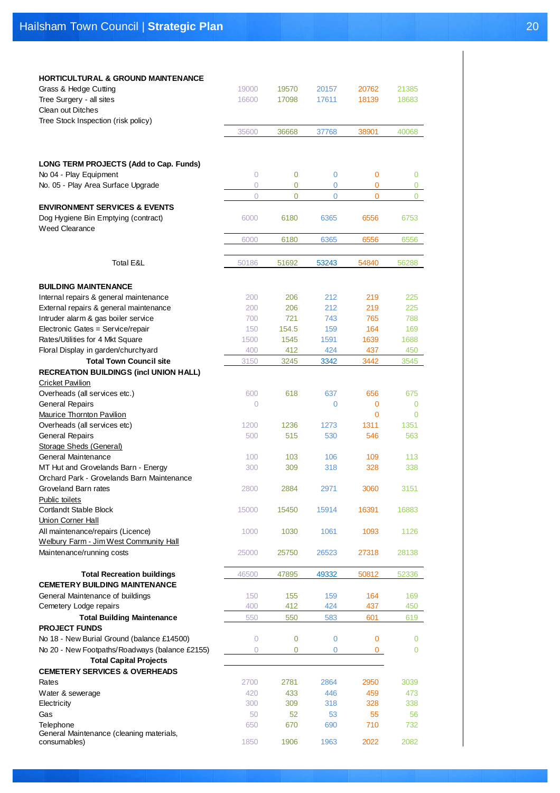| <b>HORTICULTURAL &amp; GROUND MAINTENANCE</b>  |                |                |                |              |                |
|------------------------------------------------|----------------|----------------|----------------|--------------|----------------|
| Grass & Hedge Cutting                          | 19000          | 19570          | 20157          | 20762        | 21385          |
| Tree Surgery - all sites                       | 16600          | 17098          | 17611          | 18139        | 18683          |
| <b>Clean out Ditches</b>                       |                |                |                |              |                |
| Tree Stock Inspection (risk policy)            |                |                |                |              |                |
|                                                | 35600          | 36668          | 37768          | 38901        | 40068          |
|                                                |                |                |                |              |                |
|                                                |                |                |                |              |                |
| LONG TERM PROJECTS (Add to Cap. Funds)         |                |                |                |              |                |
| No 04 - Play Equipment                         | 0              | $\overline{0}$ | $\overline{0}$ | 0            | 0              |
| No. 05 - Play Area Surface Upgrade             | $\overline{0}$ | 0              | $\overline{0}$ | 0            | 0              |
|                                                | 0              | $\mathbf 0$    | $\mathbf 0$    | 0            | 0              |
| <b>ENVIRONMENT SERVICES &amp; EVENTS</b>       |                |                |                |              |                |
| Dog Hygiene Bin Emptying (contract)            | 6000           | 6180           | 6365           | 6556         | 6753           |
| <b>Weed Clearance</b>                          |                |                |                |              |                |
|                                                |                |                |                |              |                |
|                                                | 6000           | 6180           | 6365           | 6556         | 6556           |
|                                                |                |                |                |              |                |
| <b>Total E&amp;L</b>                           | 50186          | 51692          | 53243          | 54840        | 56288          |
|                                                |                |                |                |              |                |
| <b>BUILDING MAINTENANCE</b>                    |                |                |                |              |                |
| Internal repairs & general maintenance         | 200            | 206            | 212            | 219          | 225            |
| External repairs & general maintenance         | 200            | 206            | 212            | 219          | 225            |
| Intruder alarm & gas boiler service            | 700            | 721            | 743            | 765          | 788            |
| Electronic Gates = Service/repair              | 150            | 154.5          | 159            | 164          | 169            |
| Rates/Utilities for 4 Mkt Square               | 1500           | 1545           | 1591           | 1639         | 1688           |
| Floral Display in garden/churchyard            | 400            | 412            | 424            | 437          | 450            |
| <b>Total Town Council site</b>                 | 3150           | 3245           | 3342           | 3442         | 3545           |
| <b>RECREATION BUILDINGS (incl UNION HALL)</b>  |                |                |                |              |                |
| <b>Cricket Pavilion</b>                        |                |                |                |              |                |
| Overheads (all services etc.)                  | 600            | 618            | 637            | 656          | 675            |
| <b>General Repairs</b>                         | $\overline{0}$ |                | $\overline{0}$ | 0            | 0              |
| <b>Maurice Thornton Pavilion</b>               |                |                |                | 0            | 0              |
|                                                |                |                | 1273           | 1311         |                |
| Overheads (all services etc)                   | 1200           | 1236           |                |              | 1351           |
| <b>General Repairs</b>                         | 500            | 515            | 530            | 546          | 563            |
| Storage Sheds (General)                        |                |                |                |              |                |
| General Maintenance                            | 100            | 103            | 106            | 109          | 113            |
| MT Hut and Grovelands Barn - Energy            | 300            | 309            | 318            | 328          | 338            |
| Orchard Park - Grovelands Barn Maintenance     |                |                |                |              |                |
| Groveland Barn rates                           | 2800           | 2884           | 2971           | 3060         | 3151           |
| Public toilets                                 |                |                |                |              |                |
| <b>Cortlandt Stable Block</b>                  | 15000          | 15450          | 15914          | 16391        | 16883          |
| Union Corner Hall                              |                |                |                |              |                |
| All maintenance/repairs (Licence)              | 1000           | 1030           | 1061           | 1093         | 1126           |
| Welbury Farm - Jim West Community Hall         |                |                |                |              |                |
| Maintenance/running costs                      | 25000          | 25750          | 26523          | 27318        | 28138          |
|                                                |                |                |                |              |                |
| <b>Total Recreation buildings</b>              | 46500          | 47895          | 49332          | 50812        | 52336          |
| <b>CEMETERY BUILDING MAINTENANCE</b>           |                |                |                |              |                |
| General Maintenance of buildings               | 150            | 155            | 159            | 164          | 169            |
| Cemetery Lodge repairs                         | 400            | 412            | 424            | 437          | 450            |
| <b>Total Building Maintenance</b>              | 550            | 550            | 583            | 601          | 619            |
| <b>PROJECT FUNDS</b>                           |                |                |                |              |                |
| No 18 - New Burial Ground (balance £14500)     | $\overline{0}$ | $\overline{0}$ | $\overline{0}$ | 0            | $\overline{0}$ |
| No 20 - New Footpaths/Roadways (balance £2155) | $\overline{0}$ | $\overline{0}$ | $\mathbf{0}$   | $\mathbf{0}$ | 0              |
| <b>Total Capital Projects</b>                  |                |                |                |              |                |
| <b>CEMETERY SERVICES &amp; OVERHEADS</b>       |                |                |                |              |                |
| Rates                                          | 2700           | 2781           | 2864           | 2950         | 3039           |
| Water & sewerage                               | 420            | 433            | 446            | 459          | 473            |
| Electricity                                    | 300            | 309            | 318            | 328          | 338            |
| Gas                                            | 50             | 52             | 53             | 55           | 56             |
| Telephone                                      | 650            | 670            | 690            | 710          | 732            |
| General Maintenance (cleaning materials,       |                |                |                |              |                |
| consumables)                                   | 1850           | 1906           | 1963           | 2022         | 2082           |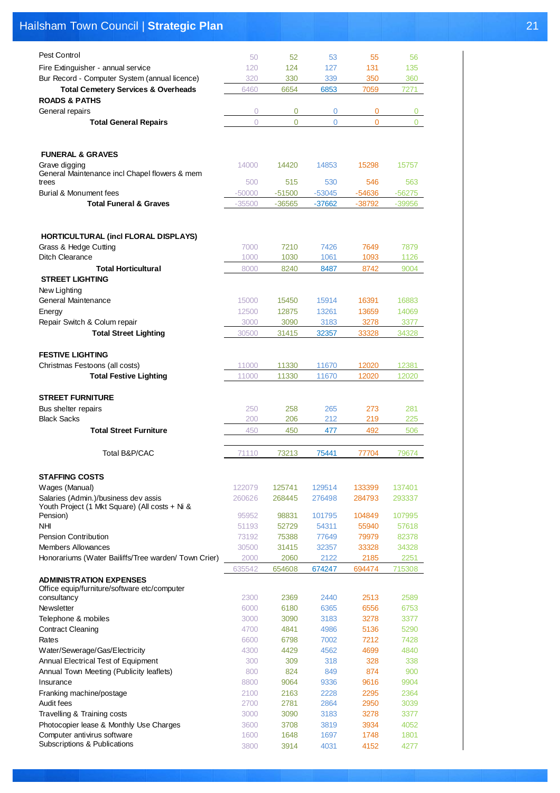# Hailsham Town Council | **Strategic Plan** 21

| Pest Control                                                                   | 50           | 52             | 53             | 55           | 56           |
|--------------------------------------------------------------------------------|--------------|----------------|----------------|--------------|--------------|
| Fire Extinguisher - annual service                                             | 120          | 124            | 127            | 131          | 135          |
| Bur Record - Computer System (annual licence)                                  | 320          | 330            | 339            | 350          | 360          |
| <b>Total Cemetery Services &amp; Overheads</b>                                 | 6460         | 6654           | 6853           | 7059         | 7271         |
| <b>ROADS &amp; PATHS</b>                                                       |              |                |                |              |              |
| General repairs                                                                | 0            | 0              | 0              | 0            | 0            |
| <b>Total General Repairs</b>                                                   | $\Omega$     | $\overline{0}$ | $\overline{0}$ | $\Omega$     | 0            |
|                                                                                |              |                |                |              |              |
|                                                                                |              |                |                |              |              |
| <b>FUNERAL &amp; GRAVES</b>                                                    |              |                |                |              |              |
| Grave digging                                                                  | 14000        | 14420          | 14853          | 15298        | 15757        |
| General Maintenance incl Chapel flowers & mem                                  |              |                |                |              |              |
| trees                                                                          | 500          | 515            | 530            | 546          | 563          |
| Burial & Monument fees                                                         | $-50000$     | $-51500$       | $-53045$       | -54636       | $-56275$     |
| <b>Total Funeral &amp; Graves</b>                                              | $-35500$     | -36565         | $-37662$       | -38792       | $-39956$     |
|                                                                                |              |                |                |              |              |
|                                                                                |              |                |                |              |              |
| <b>HORTICULTURAL (incl FLORAL DISPLAYS)</b>                                    |              |                |                |              |              |
| Grass & Hedge Cutting                                                          | 7000         | 7210           | 7426           | 7649         | 7879         |
| Ditch Clearance                                                                | 1000         | 1030           | 1061           | 1093         | 1126         |
| <b>Total Horticultural</b>                                                     | 8000         | 8240           | 8487           | 8742         | 9004         |
| <b>STREET LIGHTING</b>                                                         |              |                |                |              |              |
| New Lighting                                                                   |              |                |                |              |              |
| General Maintenance                                                            | 15000        | 15450          | 15914          | 16391        | 16883        |
| Energy                                                                         | 12500        | 12875          | 13261          | 13659        | 14069        |
| Repair Switch & Colum repair                                                   | 3000         | 3090           | 3183           | 3278         | 3377         |
| <b>Total Street Lighting</b>                                                   | 30500        | 31415          | 32357          | 33328        | 34328        |
|                                                                                |              |                |                |              |              |
| <b>FESTIVE LIGHTING</b>                                                        |              |                |                |              |              |
| Christmas Festoons (all costs)                                                 | 11000        | 11330          | 11670          | 12020        | 12381        |
| <b>Total Festive Lighting</b>                                                  | 11000        | 11330          | 11670          | 12020        | 12020        |
|                                                                                |              |                |                |              |              |
| <b>STREET FURNITURE</b>                                                        |              |                |                |              |              |
|                                                                                |              |                |                |              |              |
| Bus shelter repairs                                                            | 250          | 258            | 265            | 273          | 281          |
| <b>Black Sacks</b>                                                             | 200          | 206            | 212            | 219          | 225          |
| <b>Total Street Furniture</b>                                                  | 450          | 450            | 477            | 492          | 506          |
|                                                                                |              |                |                |              |              |
| Total B&P/CAC                                                                  | 71110        | 73213          | 75441          | 77704        | 79674        |
|                                                                                |              |                |                |              |              |
| <b>STAFFING COSTS</b>                                                          |              |                |                |              |              |
| Wages (Manual)                                                                 | 122079       | 125741         | 129514         | 133399       | 137401       |
| Salaries (Admin.)/business dev assis                                           | 260626       | 268445         | 276498         | 284793       | 293337       |
| Youth Project (1 Mkt Square) (All costs + Ni &                                 |              |                |                |              |              |
| Pension)                                                                       | 95952        | 98831          | 101795         | 104849       | 107995       |
| <b>NHI</b>                                                                     | 51193        | 52729          | 54311          | 55940        | 57618        |
| <b>Pension Contribution</b><br>Members Allowances                              | 73192        | 75388          | 77649          | 79979        | 82378        |
|                                                                                | 30500        | 31415          | 32357          | 33328        | 34328        |
| Honorariums (Water Bailiffs/Tree warden/ Town Crier)                           | 2000         | 2060           | 2122           | 2185         | 2251         |
|                                                                                | 635542       | 654608         | 674247         | 694474       | 715308       |
| <b>ADMINISTRATION EXPENSES</b><br>Office equip/furniture/software etc/computer |              |                |                |              |              |
| consultancy                                                                    | 2300         | 2369           | 2440           | 2513         | 2589         |
| Newsletter                                                                     | 6000         | 6180           | 6365           | 6556         | 6753         |
| Telephone & mobiles                                                            | 3000         | 3090           | 3183           | 3278         | 3377         |
| <b>Contract Cleaning</b>                                                       | 4700         | 4841           | 4986           | 5136         | 5290         |
| Rates                                                                          | 6600         | 6798           | 7002           | 7212         | 7428         |
| Water/Sewerage/Gas/Electricity                                                 | 4300         | 4429           | 4562           | 4699         | 4840         |
| Annual Electrical Test of Equipment                                            | 300          | 309            | 318            | 328          | 338          |
| Annual Town Meeting (Publicity leaflets)                                       | 800          | 824            | 849            | 874          | 900          |
| Insurance                                                                      | 8800         | 9064           | 9336           | 9616         | 9904         |
| Franking machine/postage                                                       | 2100         | 2163           | 2228           | 2295         | 2364         |
| Audit fees                                                                     | 2700         | 2781           | 2864           | 2950         | 3039         |
| Travelling & Training costs                                                    | 3000         | 3090           | 3183           | 3278         | 3377         |
| Photocopier lease & Monthly Use Charges                                        | 3600         | 3708           | 3819           | 3934         | 4052         |
| Computer antivirus software<br>Subscriptions & Publications                    | 1600<br>3800 | 1648<br>3914   | 1697<br>4031   | 1748<br>4152 | 1801<br>4277 |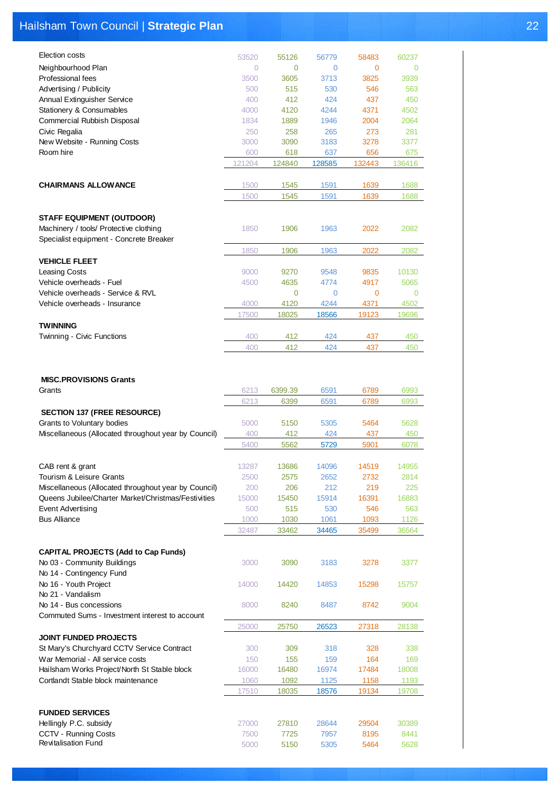# Hailsham Town Council | **Strategic Plan** 22

| Election costs                                                                    | 53520          | 55126        | 56779        | 58483        | 60237        |
|-----------------------------------------------------------------------------------|----------------|--------------|--------------|--------------|--------------|
| Neighbourhood Plan                                                                | $\overline{0}$ | 0            | 0            | $\mathbf 0$  | $\mathbf 0$  |
| Professional fees                                                                 | 3500           | 3605         | 3713         | 3825         | 3939         |
| Advertising / Publicity                                                           | 500            | 515          | 530          | 546          | 563          |
| Annual Extinguisher Service                                                       | 400            | 412          | 424          | 437          | 450          |
| Stationery & Consumables                                                          | 4000           | 4120         | 4244         | 4371         | 4502         |
| Commercial Rubbish Disposal                                                       | 1834           | 1889         | 1946         | 2004         | 2064         |
| Civic Regalia                                                                     | 250            | 258          | 265          | 273          | 281          |
| New Website - Running Costs                                                       | 3000           | 3090         | 3183         | 3278         | 3377         |
| Room hire                                                                         | 600            | 618          | 637          | 656          | 675          |
|                                                                                   | 121204         | 124840       | 128585       | 132443       | 136416       |
|                                                                                   |                |              |              |              |              |
| <b>CHAIRMANS ALLOWANCE</b>                                                        | 1500           | 1545         | 1591         | 1639         | 1688         |
|                                                                                   | 1500           | 1545         | 1591         | 1639         | 1688         |
|                                                                                   |                |              |              |              |              |
| <b>STAFF EQUIPMENT (OUTDOOR)</b>                                                  |                |              |              |              |              |
| Machinery / tools/ Protective clothing<br>Specialist equipment - Concrete Breaker | 1850           | 1906         | 1963         | 2022         | 2082         |
|                                                                                   | 1850           | 1906         | 1963         | 2022         | 2082         |
| <b>VEHICLE FLEET</b>                                                              |                |              |              |              |              |
| <b>Leasing Costs</b>                                                              | 9000           | 9270         | 9548         | 9835         | 10130        |
| Vehicle overheads - Fuel                                                          | 4500           | 4635         | 4774         | 4917         | 5065         |
| Vehicle overheads - Service & RVL                                                 |                | 0            | 0            | $\mathbf 0$  | 0            |
| Vehicle overheads - Insurance                                                     | 4000           | 4120         | 4244         | 4371         | 4502         |
|                                                                                   | 17500          | 18025        | 18566        | 19123        | 19696        |
| <b>TWINNING</b>                                                                   |                |              |              |              |              |
| Twinning - Civic Functions                                                        | 400            | 412          | 424          | 437          | 450          |
|                                                                                   | 400            | 412          | 424          | 437          | 450          |
|                                                                                   |                |              |              |              |              |
|                                                                                   |                |              |              |              |              |
| <b>MISC.PROVISIONS Grants</b>                                                     |                |              |              |              |              |
| Grants                                                                            | 6213           | 6399.39      | 6591         | 6789         | 6993         |
|                                                                                   |                |              |              |              |              |
|                                                                                   | 6213           | 6399         | 6591         | 6789         | 6993         |
| <b>SECTION 137 (FREE RESOURCE)</b>                                                |                |              |              |              |              |
| Grants to Voluntary bodies                                                        | 5000           | 5150         | 5305         | 5464         | 5628         |
| Miscellaneous (Allocated throughout year by Council)                              | 400            | 412          | 424          | 437          | 450          |
|                                                                                   | 5400           | 5562         | 5729         | 5901         | 6078         |
|                                                                                   |                |              |              |              |              |
| CAB rent & grant                                                                  | 13287          | 13686        | 14096        | 14519        | 14955        |
| Tourism & Leisure Grants<br>Miscellaneous (Allocated throughout year by Council)  | 2500<br>200    | 2575<br>206  | 2652<br>212  | 2732<br>219  | 2814<br>225  |
| Queens Jubilee/Charter Market/Christmas/Festivities                               | 15000          | 15450        | 15914        | 16391        | 16883        |
| Event Advertising                                                                 | 500            | 515          | 530          | 546          | 563          |
| <b>Bus Alliance</b>                                                               | 1000           | 1030         | 1061         | 1093         | 1126         |
|                                                                                   | 32487          | 33462        | 34465        | 35499        | 36564        |
|                                                                                   |                |              |              |              |              |
| <b>CAPITAL PROJECTS (Add to Cap Funds)</b>                                        |                |              |              |              |              |
| No 03 - Community Buildings                                                       | 3000           | 3090         | 3183         | 3278         | 3377         |
| No 14 - Contingency Fund                                                          |                |              |              |              |              |
| No 16 - Youth Project                                                             | 14000          | 14420        | 14853        | 15298        | 15757        |
| No 21 - Vandalism                                                                 |                |              |              |              |              |
| No 14 - Bus concessions                                                           | 8000           | 8240         | 8487         | 8742         | 9004         |
| Commuted Sums - Investment interest to account                                    |                |              |              |              |              |
|                                                                                   | 25000          | 25750        | 26523        | 27318        | 28138        |
| <b>JOINT FUNDED PROJECTS</b><br>St Mary's Churchyard CCTV Service Contract        | 300            | 309          | 318          | 328          | 338          |
| War Memorial - All service costs                                                  | 150            | 155          | 159          | 164          | 169          |
| Hailsham Works Project/North St Stable block                                      | 16000          | 16480        | 16974        | 17484        | 18008        |
| Cortlandt Stable block maintenance                                                | 1060           | 1092         | 1125         | 1158         | 1193         |
|                                                                                   | 17510          | 18035        | 18576        | 19134        | 19708        |
|                                                                                   |                |              |              |              |              |
| <b>FUNDED SERVICES</b>                                                            |                |              |              |              |              |
| Hellingly P.C. subsidy                                                            | 27000          | 27810        | 28644        | 29504        | 30389        |
| CCTV - Running Costs<br><b>Revitalisation Fund</b>                                | 7500<br>5000   | 7725<br>5150 | 7957<br>5305 | 8195<br>5464 | 8441<br>5628 |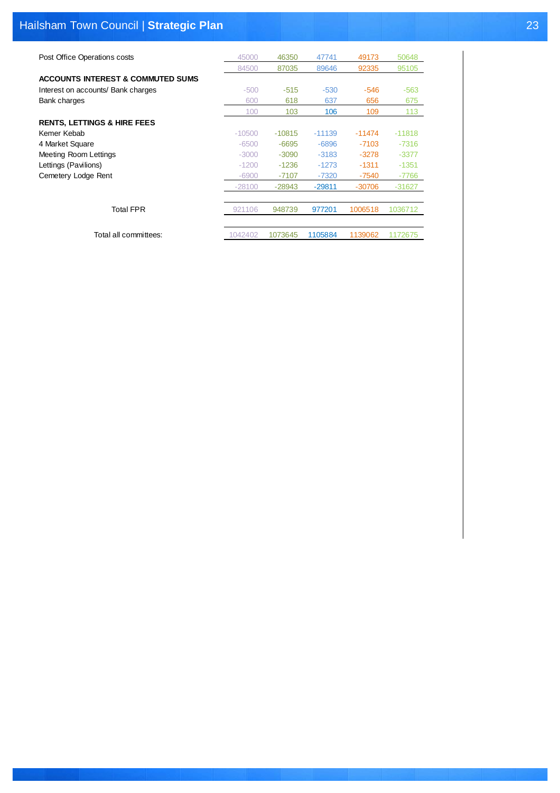# Hailsham Town Council | **Strategic Plan** 23

| Post Office Operations costs                 | 45000    | 46350    | 47741    | 49173    | 50648    |
|----------------------------------------------|----------|----------|----------|----------|----------|
|                                              | 84500    | 87035    | 89646    | 92335    | 95105    |
| <b>ACCOUNTS INTEREST &amp; COMMUTED SUMS</b> |          |          |          |          |          |
| Interest on accounts/ Bank charges           | $-500$   | $-515$   | $-530$   | $-546$   | $-563$   |
| Bank charges                                 | 600      | 618      | 637      | 656      | 675      |
|                                              | 100      | 103      | 106      | 109      | 113      |
| <b>RENTS, LETTINGS &amp; HIRE FEES</b>       |          |          |          |          |          |
| Kemer Kebab                                  | $-10500$ | $-10815$ | $-11139$ | $-11474$ | $-11818$ |
| 4 Market Square                              | $-6500$  | $-6695$  | $-6896$  | $-7103$  | $-7316$  |
| <b>Meeting Room Lettings</b>                 | $-3000$  | $-3090$  | $-3183$  | $-3278$  | $-3377$  |
| Lettings (Pavilions)                         | $-1200$  | $-1236$  | $-1273$  | $-1311$  | $-1351$  |
| Cemetery Lodge Rent                          | $-6900$  | -7107    | $-7320$  | $-7540$  | -7766    |
|                                              | $-28100$ | $-28943$ | $-29811$ | $-30706$ | $-31627$ |
|                                              |          |          |          |          |          |
| <b>Total FPR</b>                             | 921106   | 948739   | 977201   | 1006518  | 1036712  |
|                                              |          |          |          |          |          |
| Total all committees:                        | 1042402  | 1073645  | 1105884  | 1139062  | 1172675  |